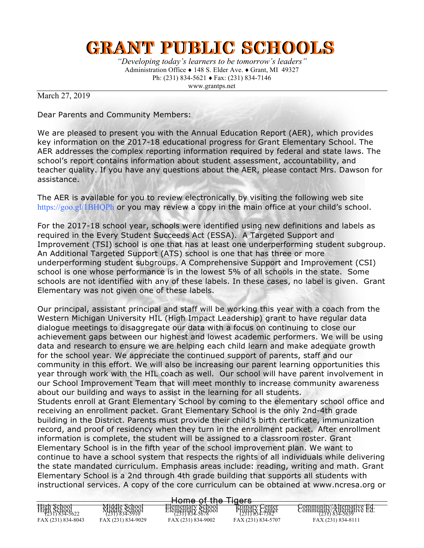## **GRANT PUBLIC SCHOOLS**

*"Developing today's learners to be tomorrow's leaders"* Administration Office ♦ 148 S. Elder Ave. ♦ Grant, MI 49327 Ph: (231) 834-5621 ♦ Fax: (231) 834-7146 www.grantps.net

March 27, 2019

Dear Parents and Community Members:

We are pleased to present you with the Annual Education Report (AER), which provides key information on the 2017-18 educational progress for Grant Elementary School. The AER addresses the complex reporting information required by federal and state laws. The school's report contains information about student assessment, accountability, and teacher quality. If you have any questions about the AER, please contact Mrs. Dawson for assistance.

The AER is available for you to review electronically by visiting the following web site https://goo.gl/1BHQPh or you may review a copy in the main office at your child's school.

For the 2017-18 school year, schools were identified using new definitions and labels as required in the Every Student Succeeds Act (ESSA). A Targeted Support and Improvement (TSI) school is one that has at least one underperforming student subgroup. An Additional Targeted Support (ATS) school is one that has three or more underperforming student subgroups. A Comprehensive Support and Improvement (CSI) school is one whose performance is in the lowest 5% of all schools in the state. Some schools are not identified with any of these labels. In these cases, no label is given. Grant Elementary was not given one of these labels.

Our principal, assistant principal and staff will be working this year with a coach from the Western Michigan University HIL (High Impact Leadership) grant to have regular data dialogue meetings to disaggregate our data with a focus on continuing to close our achievement gaps between our highest and lowest academic performers. We will be using data and research to ensure we are helping each child learn and make adequate growth for the school year. We appreciate the continued support of parents, staff and our community in this effort. We will also be increasing our parent learning opportunities this year through work with the HIL coach as well. Our school will have parent involvement in our School Improvement Team that will meet monthly to increase community awareness about our building and ways to assist in the learning for all students. Students enroll at Grant Elementary School by coming to the elementary school office and receiving an enrollment packet. Grant Elementary School is the only 2nd-4th grade building in the District. Parents must provide their child's birth certificate, immunization record, and proof of residency when they turn in the enrollment packet. After enrollment information is complete, the student will be assigned to a classroom roster. Grant Elementary School is in the fifth year of the school improvement plan. We want to continue to have a school system that respects the rights of all individuals while delivering the state mandated curriculum. Emphasis areas include: reading, writing and math. Grant Elementary School is a 2nd through 4th grade building that supports all students with instructional services. A copy of the core curriculum can be obtained at www.ncresa.org or

| Home of the<br>$T_{\text{I}}$   |                                                  |                                        |                                                           |                                                        |  |  |  |
|---------------------------------|--------------------------------------------------|----------------------------------------|-----------------------------------------------------------|--------------------------------------------------------|--|--|--|
|                                 |                                                  | n <del>omo or uro</del>                | ਯਾਰਾ                                                      |                                                        |  |  |  |
| $H1911$ School<br>$H231$ School | Middle School<br>Middle School<br>(231) 834-5910 | Elementary School<br>Elementary School | <b>Primary Center</b><br>Primary Center<br>(231) 834-7382 | Community/Alternative Ed.<br>Community/Alternative Ed. |  |  |  |
| FAX (231) 834-8043              | FAX (231) 834-9029                               | FAX (231) 834-9002                     | FAX (231) 834-5707                                        | FAX (231) 834-8111                                     |  |  |  |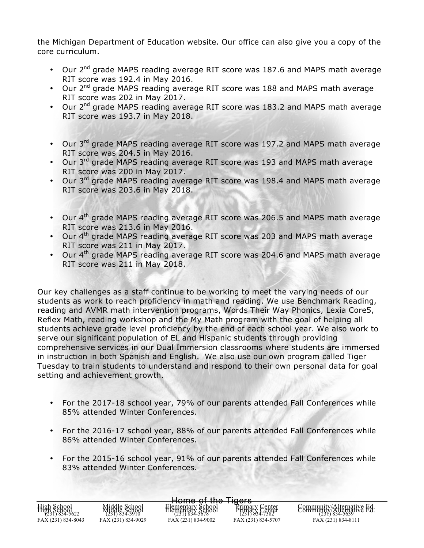the Michigan Department of Education website. Our office can also give you a copy of the core curriculum.

- Our  $2^{nd}$  grade MAPS reading average RIT score was 187.6 and MAPS math average RIT score was 192.4 in May 2016.
- Our 2<sup>nd</sup> grade MAPS reading average RIT score was 188 and MAPS math average RIT score was 202 in May 2017.
- Our  $2^{nd}$  grade MAPS reading average RIT score was 183.2 and MAPS math average RIT score was 193.7 in May 2018.
- Our 3<sup>rd</sup> grade MAPS reading average RIT score was 197.2 and MAPS math average RIT score was 204.5 in May 2016.
- Our 3<sup>rd</sup> grade MAPS reading average RIT score was 193 and MAPS math average RIT score was 200 in May 2017.
- Our 3<sup>rd</sup> grade MAPS reading average RIT score was 198.4 and MAPS math average RIT score was 203.6 in May 2018.
- Our 4<sup>th</sup> grade MAPS reading average RIT score was 206.5 and MAPS math average RIT score was 213.6 in May 2016.
- Our  $4<sup>th</sup>$  grade MAPS reading average RIT score was 203 and MAPS math average RIT score was 211 in May 2017.
- Our  $4<sup>th</sup>$  grade MAPS reading average RIT score was 204.6 and MAPS math average RIT score was 211 in May 2018.

Our key challenges as a staff continue to be working to meet the varying needs of our students as work to reach proficiency in math and reading. We use Benchmark Reading, reading and AVMR math intervention programs, Words Their Way Phonics, Lexia Core5, Reflex Math, reading workshop and the My Math program with the goal of helping all students achieve grade level proficiency by the end of each school year. We also work to serve our significant population of EL and Hispanic students through providing comprehensive services in our Dual Immersion classrooms where students are immersed in instruction in both Spanish and English. We also use our own program called Tiger Tuesday to train students to understand and respond to their own personal data for goal setting and achievement growth.

- For the 2017-18 school year, 79% of our parents attended Fall Conferences while 85% attended Winter Conferences.
- For the 2016-17 school year, 88% of our parents attended Fall Conferences while 86% attended Winter Conferences.
- For the 2015-16 school year, 91% of our parents attended Fall Conferences while 83% attended Winter Conferences.

| Tinere<br>$H \cap A$ of the $\cdot$                                       |                                                  |                                        |                                  |                                                        |  |  |  |  |
|---------------------------------------------------------------------------|--------------------------------------------------|----------------------------------------|----------------------------------|--------------------------------------------------------|--|--|--|--|
| <del>טווי וט טוווט</del><br>$-1$                                          |                                                  |                                        |                                  |                                                        |  |  |  |  |
| $\overline{H_1}$ and $\overline{S}$ chool<br>$\overline{V}$ 231) 834-5622 | Middle School<br>Middle School<br>(231) 834-5910 | Elementary School<br>Elementary School | Frimary Center<br>Primary Center | Community/Alternative Ed.<br>Community/Alternative Ed. |  |  |  |  |
| FAX (231) 834-8043                                                        | FAX (231) 834-9029                               | FAX (231) 834-9002                     | FAX (231) 834-5707               | FAX (231) 834-8111                                     |  |  |  |  |